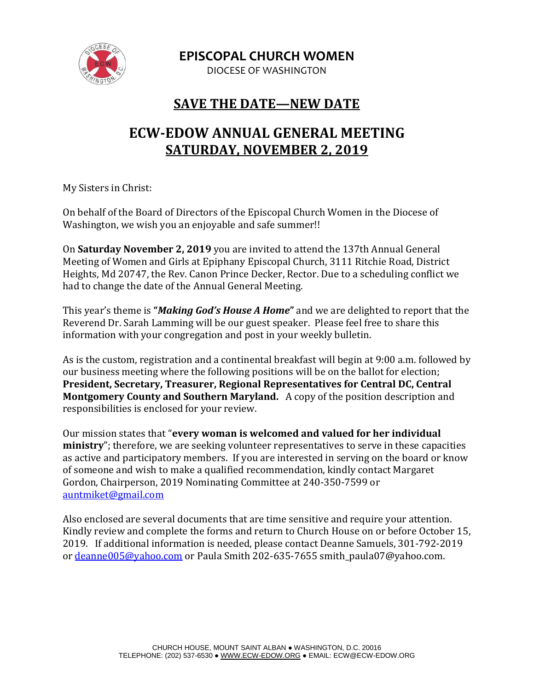

**EPISCOPAL CHURCH WOMEN**

DIOCESE OF WASHINGTON

## **SAVE THE DATE—NEW DATE**

## **ECW-EDOW ANNUAL GENERAL MEETING SATURDAY, NOVEMBER 2, 2019**

My Sisters in Christ:

On behalf of the Board of Directors of the Episcopal Church Women in the Diocese of Washington, we wish you an enjoyable and safe summer!!

On **Saturday November 2, 2019** you are invited to attend the 137th Annual General Meeting of Women and Girls at Epiphany Episcopal Church, 3111 Ritchie Road, District Heights, Md 20747, the Rev. Canon Prince Decker, Rector. Due to a scheduling conflict we had to change the date of the Annual General Meeting.

This year's theme is **"***Making God's House A Home***"** and we are delighted to report that the Reverend Dr. Sarah Lamming will be our guest speaker. Please feel free to share this information with your congregation and post in your weekly bulletin.

As is the custom, registration and a continental breakfast will begin at 9:00 a.m. followed by our business meeting where the following positions will be on the ballot for election; **President, Secretary, Treasurer, Regional Representatives for Central DC, Central Montgomery County and Southern Maryland.** A copy of the position description and responsibilities is enclosed for your review.

Our mission states that "**every woman is welcomed and valued for her individual ministry**"; therefore, we are seeking volunteer representatives to serve in these capacities as active and participatory members. If you are interested in serving on the board or know of someone and wish to make a qualified recommendation, kindly contact Margaret Gordon, Chairperson, 2019 Nominating Committee at 240-350-7599 or [auntmiket@gmail.com](mailto:auntmiket@gmail.com)

Also enclosed are several documents that are time sensitive and require your attention. Kindly review and complete the forms and return to Church House on or before October 15, 2019. If additional information is needed, please contact Deanne Samuels, 301-792-2019 or [deanne005@yahoo.com](mailto:deanne005@yahoo.com) or Paula Smith 202-635-7655 smith\_paula07@yahoo.com.